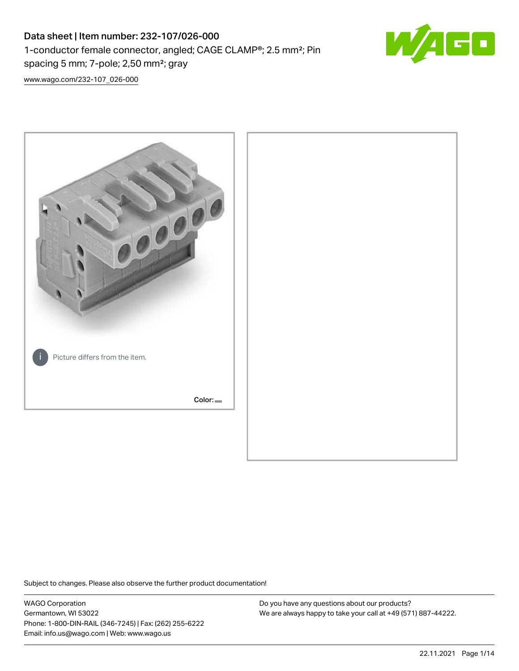## Data sheet | Item number: 232-107/026-000 1-conductor female connector, angled; CAGE CLAMP®; 2.5 mm²; Pin spacing 5 mm; 7-pole; 2,50 mm²; gray



[www.wago.com/232-107\\_026-000](http://www.wago.com/232-107_026-000)



Subject to changes. Please also observe the further product documentation!

WAGO Corporation Germantown, WI 53022 Phone: 1-800-DIN-RAIL (346-7245) | Fax: (262) 255-6222 Email: info.us@wago.com | Web: www.wago.us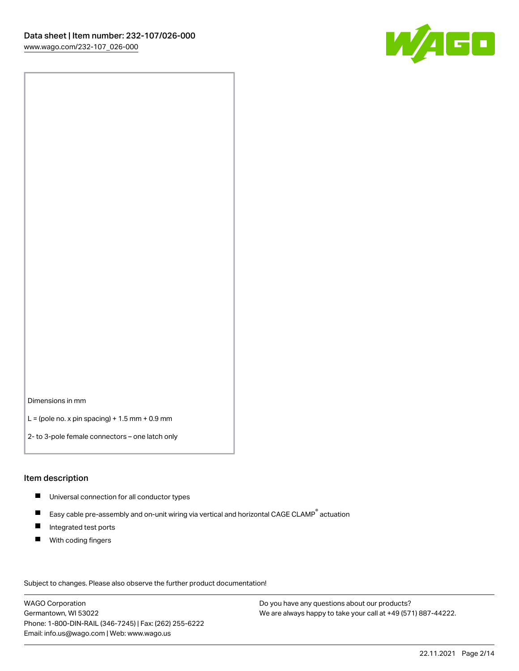

Dimensions in mm

 $L =$  (pole no. x pin spacing) + 1.5 mm + 0.9 mm

2- to 3-pole female connectors – one latch only

#### Item description

- **Universal connection for all conductor types**
- Easy cable pre-assembly and on-unit wiring via vertical and horizontal CAGE CLAMP<sup>®</sup> actuation  $\blacksquare$
- $\blacksquare$ Integrated test ports
- $\blacksquare$ With coding fingers

Subject to changes. Please also observe the further product documentation! Data

WAGO Corporation Germantown, WI 53022 Phone: 1-800-DIN-RAIL (346-7245) | Fax: (262) 255-6222 Email: info.us@wago.com | Web: www.wago.us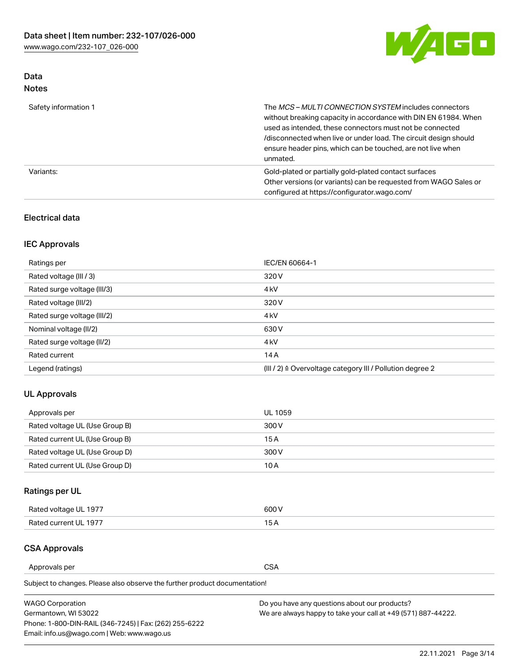

## Data Notes

| Safety information 1 | The MCS-MULTI CONNECTION SYSTEM includes connectors<br>without breaking capacity in accordance with DIN EN 61984. When<br>used as intended, these connectors must not be connected<br>/disconnected when live or under load. The circuit design should<br>ensure header pins, which can be touched, are not live when<br>unmated. |
|----------------------|-----------------------------------------------------------------------------------------------------------------------------------------------------------------------------------------------------------------------------------------------------------------------------------------------------------------------------------|
| Variants:            | Gold-plated or partially gold-plated contact surfaces<br>Other versions (or variants) can be requested from WAGO Sales or<br>configured at https://configurator.wago.com/                                                                                                                                                         |

## Electrical data

## IEC Approvals

| Ratings per                 | IEC/EN 60664-1                                                        |
|-----------------------------|-----------------------------------------------------------------------|
| Rated voltage (III / 3)     | 320 V                                                                 |
| Rated surge voltage (III/3) | 4 <sub>k</sub> V                                                      |
| Rated voltage (III/2)       | 320 V                                                                 |
| Rated surge voltage (III/2) | 4 <sub>k</sub> V                                                      |
| Nominal voltage (II/2)      | 630 V                                                                 |
| Rated surge voltage (II/2)  | 4 <sub>k</sub> V                                                      |
| Rated current               | 14A                                                                   |
| Legend (ratings)            | $(III / 2)$ $\triangle$ Overvoltage category III / Pollution degree 2 |

## UL Approvals

| Approvals per                  | UL 1059 |
|--------------------------------|---------|
| Rated voltage UL (Use Group B) | 300 V   |
| Rated current UL (Use Group B) | 15 A    |
| Rated voltage UL (Use Group D) | 300 V   |
| Rated current UL (Use Group D) | 10 A    |

## Ratings per UL

| Rated voltage UL 1977 | 300 V |
|-----------------------|-------|
| Rated current UL 1977 |       |

## CSA Approvals

Approvals per CSA

| <b>WAGO Corporation</b>                                | Do you have any questions about our products?                 |
|--------------------------------------------------------|---------------------------------------------------------------|
| Germantown, WI 53022                                   | We are always happy to take your call at +49 (571) 887-44222. |
| Phone: 1-800-DIN-RAIL (346-7245)   Fax: (262) 255-6222 |                                                               |
| Email: info.us@wago.com   Web: www.wago.us             |                                                               |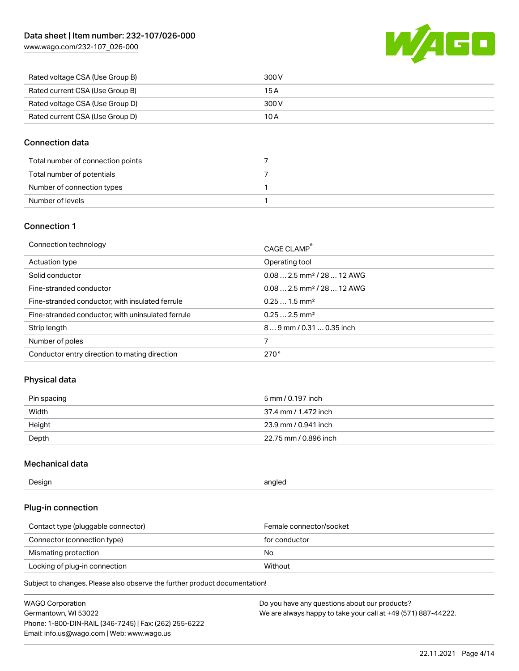[www.wago.com/232-107\\_026-000](http://www.wago.com/232-107_026-000)



| Rated voltage CSA (Use Group B) | 300 V |
|---------------------------------|-------|
| Rated current CSA (Use Group B) | 15 A  |
| Rated voltage CSA (Use Group D) | 300 V |
| Rated current CSA (Use Group D) | 10 A  |

## Connection data

| Total number of connection points |  |
|-----------------------------------|--|
| Total number of potentials        |  |
| Number of connection types        |  |
| Number of levels                  |  |

## Connection 1

| Connection technology                             | CAGE CLAMP <sup>®</sup>                 |
|---------------------------------------------------|-----------------------------------------|
| Actuation type                                    | Operating tool                          |
| Solid conductor                                   | $0.082.5$ mm <sup>2</sup> / 28  12 AWG  |
| Fine-stranded conductor                           | $0.08$ 2.5 mm <sup>2</sup> / 28  12 AWG |
| Fine-stranded conductor; with insulated ferrule   | $0.251.5$ mm <sup>2</sup>               |
| Fine-stranded conductor; with uninsulated ferrule | $0.252.5$ mm <sup>2</sup>               |
| Strip length                                      | $89$ mm $/$ 0.31  0.35 inch             |
| Number of poles                                   |                                         |
| Conductor entry direction to mating direction     | 270°                                    |

## Physical data

| Pin spacing | 5 mm / 0.197 inch     |
|-------------|-----------------------|
| Width       | 37.4 mm / 1.472 inch  |
| Height      | 23.9 mm / 0.941 inch  |
| Depth       | 22.75 mm / 0.896 inch |

## Mechanical data

| Design<br>angled |  |
|------------------|--|
|------------------|--|

## Plug-in connection

| Contact type (pluggable connector) | Female connector/socket |
|------------------------------------|-------------------------|
| Connector (connection type)        | for conductor           |
| Mismating protection               | No                      |
| Locking of plug-in connection      | Without                 |

| <b>WAGO Corporation</b>                                | Do you have any questions about our products?                 |
|--------------------------------------------------------|---------------------------------------------------------------|
| Germantown, WI 53022                                   | We are always happy to take your call at +49 (571) 887-44222. |
| Phone: 1-800-DIN-RAIL (346-7245)   Fax: (262) 255-6222 |                                                               |
| Email: info.us@wago.com   Web: www.wago.us             |                                                               |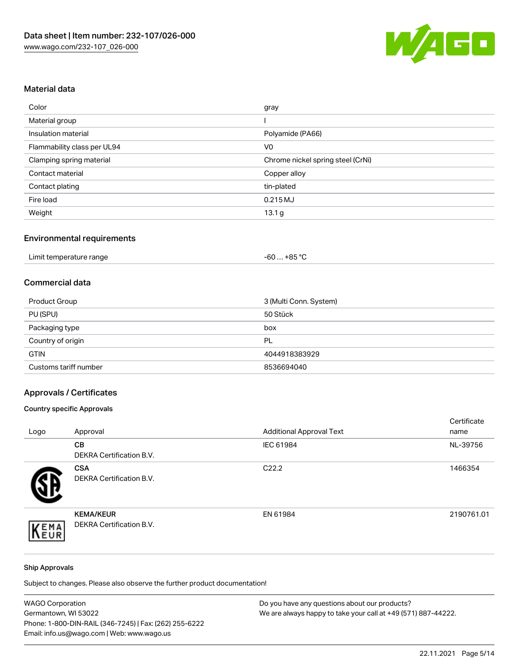

## Material data

| Color                       | gray                              |
|-----------------------------|-----------------------------------|
| Material group              |                                   |
| Insulation material         | Polyamide (PA66)                  |
| Flammability class per UL94 | V <sub>0</sub>                    |
| Clamping spring material    | Chrome nickel spring steel (CrNi) |
| Contact material            | Copper alloy                      |
| Contact plating             | tin-plated                        |
| Fire load                   | 0.215 MJ                          |
| Weight                      | 13.1 <sub>g</sub>                 |

## Environmental requirements

| Limit temperature range<br>.<br>. | . +85 °Ր<br>$-60$ |
|-----------------------------------|-------------------|
|-----------------------------------|-------------------|

#### Commercial data

| Product Group         | 3 (Multi Conn. System) |
|-----------------------|------------------------|
| PU (SPU)              | 50 Stück               |
| Packaging type        | box                    |
| Country of origin     | PL                     |
| <b>GTIN</b>           | 4044918383929          |
| Customs tariff number | 8536694040             |

## Approvals / Certificates

## Country specific Approvals

| Logo | Approval                                            | <b>Additional Approval Text</b> | Certificate<br>name |
|------|-----------------------------------------------------|---------------------------------|---------------------|
|      | <b>CB</b><br><b>DEKRA Certification B.V.</b>        | IEC 61984                       | NL-39756            |
|      | <b>CSA</b><br>DEKRA Certification B.V.              | C <sub>22.2</sub>               | 1466354             |
| EMA  | <b>KEMA/KEUR</b><br><b>DEKRA Certification B.V.</b> | EN 61984                        | 2190761.01          |

#### Ship Approvals

| <b>WAGO Corporation</b>                                | Do you have any questions about our products?                 |
|--------------------------------------------------------|---------------------------------------------------------------|
| Germantown, WI 53022                                   | We are always happy to take your call at +49 (571) 887-44222. |
| Phone: 1-800-DIN-RAIL (346-7245)   Fax: (262) 255-6222 |                                                               |
| Email: info.us@wago.com   Web: www.wago.us             |                                                               |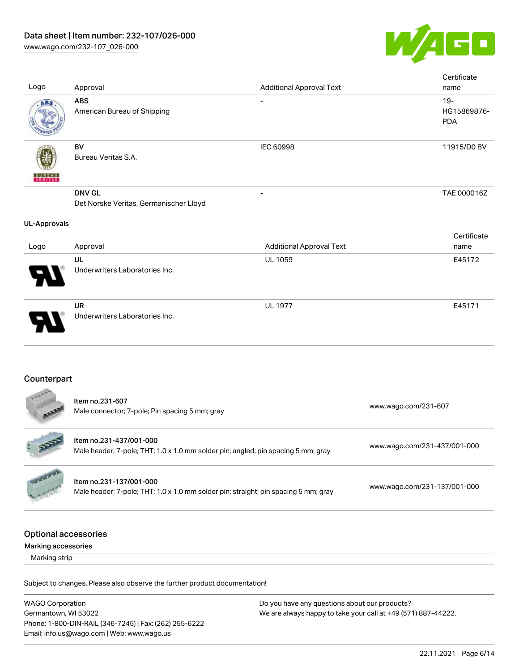

| Logo                                               | Approval                                                                                                       | <b>Additional Approval Text</b> | Certificate<br>name                 |
|----------------------------------------------------|----------------------------------------------------------------------------------------------------------------|---------------------------------|-------------------------------------|
| ABS                                                | <b>ABS</b><br>American Bureau of Shipping                                                                      |                                 | $19 -$<br>HG15869876-<br><b>PDA</b> |
|                                                    | <b>BV</b><br>Bureau Veritas S.A.                                                                               | <b>IEC 60998</b>                | 11915/D0 BV                         |
|                                                    | <b>DNV GL</b><br>Det Norske Veritas, Germanischer Lloyd                                                        |                                 | TAE 000016Z                         |
| <b>UL-Approvals</b>                                |                                                                                                                |                                 |                                     |
| Logo                                               | Approval                                                                                                       | <b>Additional Approval Text</b> | Certificate<br>name                 |
|                                                    | UL<br>Underwriters Laboratories Inc.                                                                           | UL 1059                         | E45172                              |
|                                                    | <b>UR</b><br>Underwriters Laboratories Inc.                                                                    | <b>UL 1977</b>                  | E45171                              |
| Counterpart                                        |                                                                                                                |                                 |                                     |
|                                                    | Item no.231-607<br>Male connector; 7-pole; Pin spacing 5 mm; gray                                              |                                 | www.wago.com/231-607                |
|                                                    | Item no.231-437/001-000<br>Male header; 7-pole; THT; 1.0 x 1.0 mm solder pin; angled; pin spacing 5 mm; gray   |                                 | www.wago.com/231-437/001-000        |
|                                                    | Item no.231-137/001-000<br>Male header; 7-pole; THT; 1.0 x 1.0 mm solder pin; straight; pin spacing 5 mm; gray |                                 | www.wago.com/231-137/001-000        |
| <b>Optional accessories</b><br>Marking accessories |                                                                                                                |                                 |                                     |
| Marking strip                                      |                                                                                                                |                                 |                                     |
|                                                    | Subject to changes. Please also observe the further product documentation!                                     |                                 |                                     |

WAGO Corporation Germantown, WI 53022 Phone: 1-800-DIN-RAIL (346-7245) | Fax: (262) 255-6222 Email: info.us@wago.com | Web: www.wago.us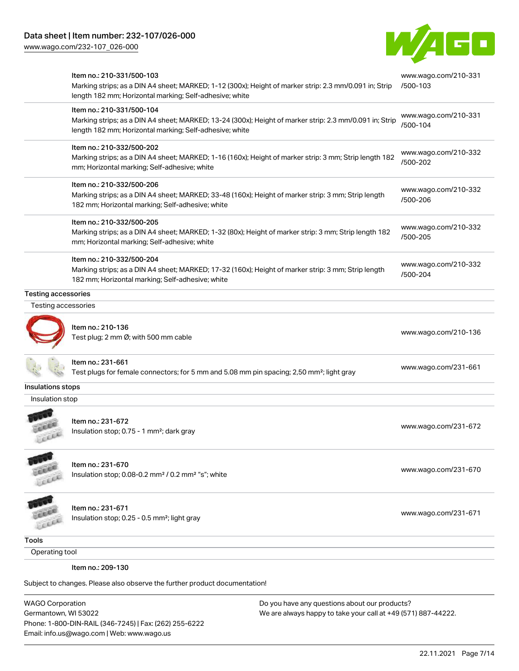[www.wago.com/232-107\\_026-000](http://www.wago.com/232-107_026-000)



|                            | Item no.: 210-331/500-103<br>Marking strips; as a DIN A4 sheet; MARKED; 1-12 (300x); Height of marker strip: 2.3 mm/0.091 in; Strip<br>length 182 mm; Horizontal marking; Self-adhesive; white  | www.wago.com/210-331<br>/500-103 |
|----------------------------|-------------------------------------------------------------------------------------------------------------------------------------------------------------------------------------------------|----------------------------------|
|                            | Item no.: 210-331/500-104<br>Marking strips; as a DIN A4 sheet; MARKED; 13-24 (300x); Height of marker strip: 2.3 mm/0.091 in; Strip<br>length 182 mm; Horizontal marking; Self-adhesive; white | www.wago.com/210-331<br>/500-104 |
|                            | Item no.: 210-332/500-202<br>Marking strips; as a DIN A4 sheet; MARKED; 1-16 (160x); Height of marker strip: 3 mm; Strip length 182<br>mm; Horizontal marking; Self-adhesive; white             | www.wago.com/210-332<br>/500-202 |
|                            | Item no.: 210-332/500-206<br>Marking strips; as a DIN A4 sheet; MARKED; 33-48 (160x); Height of marker strip: 3 mm; Strip length<br>182 mm; Horizontal marking; Self-adhesive; white            | www.wago.com/210-332<br>/500-206 |
|                            | Item no.: 210-332/500-205<br>Marking strips; as a DIN A4 sheet; MARKED; 1-32 (80x); Height of marker strip: 3 mm; Strip length 182<br>mm; Horizontal marking; Self-adhesive; white              | www.wago.com/210-332<br>/500-205 |
|                            | Item no.: 210-332/500-204<br>Marking strips; as a DIN A4 sheet; MARKED; 17-32 (160x); Height of marker strip: 3 mm; Strip length<br>182 mm; Horizontal marking; Self-adhesive; white            | www.wago.com/210-332<br>/500-204 |
| <b>Testing accessories</b> |                                                                                                                                                                                                 |                                  |
| Testing accessories        |                                                                                                                                                                                                 |                                  |
|                            | Item no.: 210-136<br>Test plug; 2 mm Ø; with 500 mm cable                                                                                                                                       | www.wago.com/210-136             |
|                            | Item no.: 231-661<br>Test plugs for female connectors; for 5 mm and 5.08 mm pin spacing; 2,50 mm <sup>2</sup> ; light gray                                                                      | www.wago.com/231-661             |
| Insulations stops          |                                                                                                                                                                                                 |                                  |
| Insulation stop            |                                                                                                                                                                                                 |                                  |
|                            | Item no.: 231-672<br>Insulation stop; 0.75 - 1 mm <sup>2</sup> ; dark gray                                                                                                                      | www.wago.com/231-672             |
|                            | Item no.: 231-670<br>Insulation stop; 0.08-0.2 mm <sup>2</sup> / 0.2 mm <sup>2</sup> "s"; white                                                                                                 | www.wago.com/231-670             |
|                            | Item no.: 231-671<br>Insulation stop; 0.25 - 0.5 mm <sup>2</sup> ; light gray                                                                                                                   | www.wago.com/231-671             |
| <b>Tools</b>               |                                                                                                                                                                                                 |                                  |
| Operating tool             |                                                                                                                                                                                                 |                                  |
|                            | Item no.: 209-130                                                                                                                                                                               |                                  |
|                            | Subject to changes. Please also observe the further product documentation!                                                                                                                      |                                  |
|                            |                                                                                                                                                                                                 |                                  |

WAGO Corporation Germantown, WI 53022 Phone: 1-800-DIN-RAIL (346-7245) | Fax: (262) 255-6222 Email: info.us@wago.com | Web: www.wago.us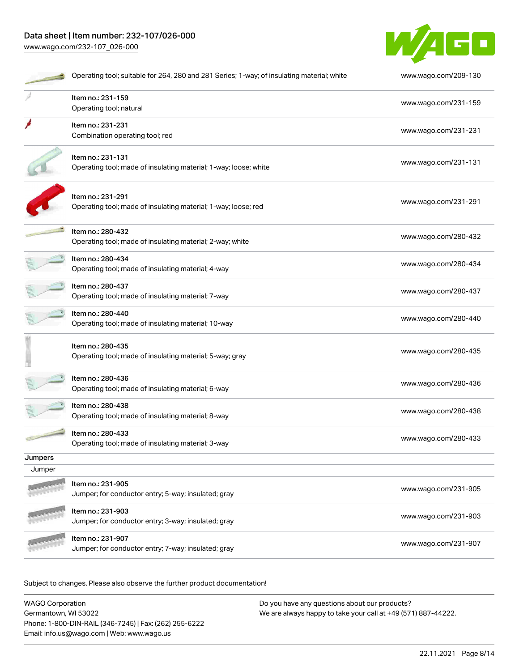# Data sheet | Item number: 232-107/026-000

[www.wago.com/232-107\\_026-000](http://www.wago.com/232-107_026-000)



|         | Operating tool; suitable for 264, 280 and 281 Series; 1-way; of insulating material; white | www.wago.com/209-130 |
|---------|--------------------------------------------------------------------------------------------|----------------------|
|         | Item no.: 231-159<br>Operating tool; natural                                               | www.wago.com/231-159 |
|         | Item no.: 231-231<br>Combination operating tool; red                                       | www.wago.com/231-231 |
|         | Item no.: 231-131<br>Operating tool; made of insulating material; 1-way; loose; white      | www.wago.com/231-131 |
|         | Item no.: 231-291<br>Operating tool; made of insulating material; 1-way; loose; red        | www.wago.com/231-291 |
|         | Item no.: 280-432<br>Operating tool; made of insulating material; 2-way; white             | www.wago.com/280-432 |
|         | Item no.: 280-434<br>Operating tool; made of insulating material; 4-way                    | www.wago.com/280-434 |
|         | Item no.: 280-437<br>Operating tool; made of insulating material; 7-way                    | www.wago.com/280-437 |
|         | Item no.: 280-440<br>Operating tool; made of insulating material; 10-way                   | www.wago.com/280-440 |
|         | Item no.: 280-435<br>Operating tool; made of insulating material; 5-way; gray              | www.wago.com/280-435 |
|         | Item no.: 280-436<br>Operating tool; made of insulating material; 6-way                    | www.wago.com/280-436 |
|         | Item no.: 280-438<br>Operating tool; made of insulating material; 8-way                    | www.wago.com/280-438 |
|         | Item no.: 280-433<br>Operating tool; made of insulating material; 3-way                    | www.wago.com/280-433 |
| Jumpers |                                                                                            |                      |
| Jumper  |                                                                                            |                      |
|         | Item no.: 231-905<br>Jumper; for conductor entry; 5-way; insulated; gray                   | www.wago.com/231-905 |
|         | Item no.: 231-903<br>Jumper; for conductor entry; 3-way; insulated; gray                   | www.wago.com/231-903 |
|         | Item no.: 231-907<br>Jumper; for conductor entry; 7-way; insulated; gray                   | www.wago.com/231-907 |

| <b>WAGO Corporation</b>                                | Do you have any questions about our products?                 |
|--------------------------------------------------------|---------------------------------------------------------------|
| Germantown, WI 53022                                   | We are always happy to take your call at +49 (571) 887-44222. |
| Phone: 1-800-DIN-RAIL (346-7245)   Fax: (262) 255-6222 |                                                               |
| Email: info.us@wago.com   Web: www.wago.us             |                                                               |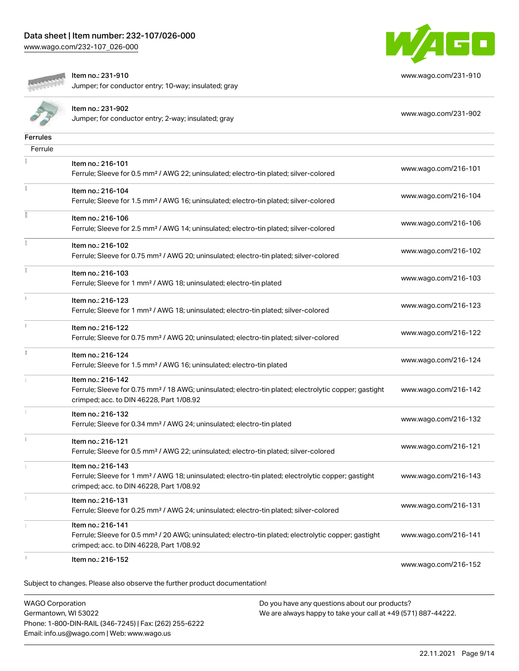[www.wago.com/232-107\\_026-000](http://www.wago.com/232-107_026-000)



[www.wago.com/231-910](http://www.wago.com/231-910)



Item no.: 231-910

Jumper; for conductor entry; 10-way; insulated; gray

|          | Item no.: 231-902<br>Jumper; for conductor entry; 2-way; insulated; gray                                                                                                           | www.wago.com/231-902 |
|----------|------------------------------------------------------------------------------------------------------------------------------------------------------------------------------------|----------------------|
| Ferrules |                                                                                                                                                                                    |                      |
| Ferrule  |                                                                                                                                                                                    |                      |
|          | Item no.: 216-101<br>Ferrule; Sleeve for 0.5 mm <sup>2</sup> / AWG 22; uninsulated; electro-tin plated; silver-colored                                                             | www.wago.com/216-101 |
|          | Item no.: 216-104<br>Ferrule; Sleeve for 1.5 mm <sup>2</sup> / AWG 16; uninsulated; electro-tin plated; silver-colored                                                             | www.wago.com/216-104 |
|          | Item no.: 216-106<br>Ferrule; Sleeve for 2.5 mm <sup>2</sup> / AWG 14; uninsulated; electro-tin plated; silver-colored                                                             | www.wago.com/216-106 |
|          | Item no.: 216-102<br>Ferrule; Sleeve for 0.75 mm <sup>2</sup> / AWG 20; uninsulated; electro-tin plated; silver-colored                                                            | www.wago.com/216-102 |
|          | Item no.: 216-103<br>Ferrule; Sleeve for 1 mm <sup>2</sup> / AWG 18; uninsulated; electro-tin plated                                                                               | www.wago.com/216-103 |
|          | Item no.: 216-123<br>Ferrule; Sleeve for 1 mm <sup>2</sup> / AWG 18; uninsulated; electro-tin plated; silver-colored                                                               | www.wago.com/216-123 |
|          | Item no.: 216-122<br>Ferrule; Sleeve for 0.75 mm <sup>2</sup> / AWG 20; uninsulated; electro-tin plated; silver-colored                                                            | www.wago.com/216-122 |
| I.       | Item no.: 216-124<br>Ferrule; Sleeve for 1.5 mm <sup>2</sup> / AWG 16; uninsulated; electro-tin plated                                                                             | www.wago.com/216-124 |
|          | Item no.: 216-142<br>Ferrule; Sleeve for 0.75 mm <sup>2</sup> / 18 AWG; uninsulated; electro-tin plated; electrolytic copper; gastight<br>crimped; acc. to DIN 46228, Part 1/08.92 | www.wago.com/216-142 |
|          | Item no.: 216-132<br>Ferrule; Sleeve for 0.34 mm <sup>2</sup> / AWG 24; uninsulated; electro-tin plated                                                                            | www.wago.com/216-132 |
|          | Item no.: 216-121<br>Ferrule; Sleeve for 0.5 mm <sup>2</sup> / AWG 22; uninsulated; electro-tin plated; silver-colored                                                             | www.wago.com/216-121 |
|          | Item no.: 216-143<br>Ferrule; Sleeve for 1 mm <sup>2</sup> / AWG 18; uninsulated; electro-tin plated; electrolytic copper; gastight<br>crimped; acc. to DIN 46228, Part 1/08.92    | www.wago.com/216-143 |
|          | Item no.: 216-131<br>Ferrule; Sleeve for 0.25 mm <sup>2</sup> / AWG 24; uninsulated; electro-tin plated; silver-colored                                                            | www.wago.com/216-131 |
|          | Item no.: 216-141<br>Ferrule; Sleeve for 0.5 mm <sup>2</sup> / 20 AWG; uninsulated; electro-tin plated; electrolytic copper; gastight<br>crimped; acc. to DIN 46228, Part 1/08.92  | www.wago.com/216-141 |
|          | Item no.: 216-152<br>Subject to changes. Please also observe the further product documentation!                                                                                    | www.wago.com/216-152 |
|          |                                                                                                                                                                                    |                      |

WAGO Corporation Germantown, WI 53022 Phone: 1-800-DIN-RAIL (346-7245) | Fax: (262) 255-6222 Email: info.us@wago.com | Web: www.wago.us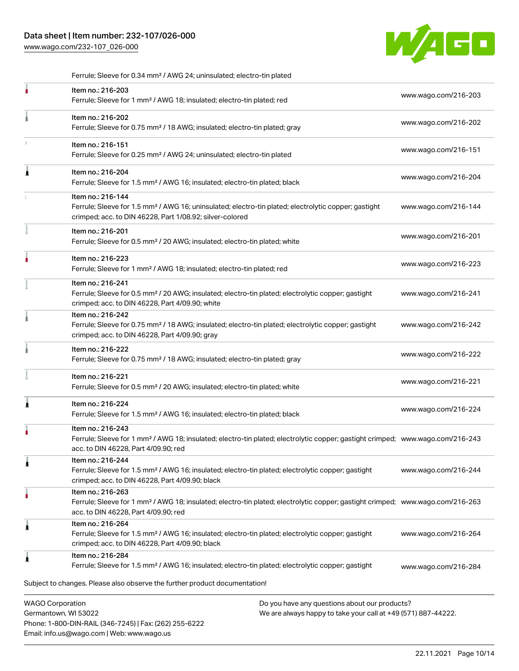## Data sheet | Item number: 232-107/026-000

Phone: 1-800-DIN-RAIL (346-7245) | Fax: (262) 255-6222

Email: info.us@wago.com | Web: www.wago.us

[www.wago.com/232-107\\_026-000](http://www.wago.com/232-107_026-000)



.<br>Subject to changes. Please also observe the further product documentation! WAGO Corporation Germantown, WI 53022 Do you have any questions about our products? We are always happy to take your call at +49 (571) 887-44222. Ferrule; Sleeve for 0.34 mm² / AWG 24; uninsulated; electro-tin plated Item no.: 216-203 Ferrule; Sleeve for 1 mm² / AWG 18; insulated; electro-tin plated; red [www.wago.com/216-203](http://www.wago.com/216-203) Item no.: 216-202 Ferrule; Sleeve for 0.75 mm² / 18 AWG; insulated; electro-tin plated; gray [www.wago.com/216-202](http://www.wago.com/216-202) Item no.: 216-151 Ferrule; Sleeve for 0.25 mm² / AWG 24; uninsulated; electro-tin plated [www.wago.com/216-151](http://www.wago.com/216-151) Item no.: 216-204 Ferrule; Sleeve for 1.5 mm² / AWG 16; insulated; electro-tin plated; black [www.wago.com/216-204](http://www.wago.com/216-204) Item no.: 216-144 Ferrule; Sleeve for 1.5 mm² / AWG 16; uninsulated; electro-tin plated; electrolytic copper; gastight crimped; acc. to DIN 46228, Part 1/08.92; silver-colored [www.wago.com/216-144](http://www.wago.com/216-144) Item no.: 216-201 Ferrule; Sleeve for 0.5 mm² / 20 AWG; insulated; electro-tin plated; white [www.wago.com/216-201](http://www.wago.com/216-201) Item no.: 216-223 Ferrule; Sleeve for 1 mm² / AWG 18; insulated; electro-tin plated; red [www.wago.com/216-223](http://www.wago.com/216-223) Item no.: 216-241 Ferrule; Sleeve for 0.5 mm² / 20 AWG; insulated; electro-tin plated; electrolytic copper; gastight crimped; acc. to DIN 46228, Part 4/09.90; white [www.wago.com/216-241](http://www.wago.com/216-241) Item no.: 216-242 Ferrule; Sleeve for 0.75 mm<sup>2</sup> / 18 AWG; insulated; electro-tin plated; electrolytic copper; gastight crimped; acc. to DIN 46228, Part 4/09.90; gray [www.wago.com/216-242](http://www.wago.com/216-242) Item no.: 216-222 Ferrule; Sleeve for 0.75 mm² / 18 AWG; insulated; electro-tin plated; gray [www.wago.com/216-222](http://www.wago.com/216-222) Item no.: 216-221 Ferrule; Sleeve for 0.5 mm² / 20 AWG; insulated; electro-tin plated; white [www.wago.com/216-221](http://www.wago.com/216-221) Item no.: 216-224 Ferrule; Sleeve for 1.5 mm² / AWG 16; insulated; electro-tin plated; black [www.wago.com/216-224](http://www.wago.com/216-224) Item no.: 216-243 Ferrule; Sleeve for 1 mm² / AWG 18; insulated; electro-tin plated; electrolytic copper; gastight crimped; [www.wago.com/216-243](http://www.wago.com/216-243) acc. to DIN 46228, Part 4/09.90; red Item no.: 216-244 Ferrule; Sleeve for 1.5 mm² / AWG 16; insulated; electro-tin plated; electrolytic copper; gastight crimped; acc. to DIN 46228, Part 4/09.90; black [www.wago.com/216-244](http://www.wago.com/216-244) Item no.: 216-263 Ferrule; Sleeve for 1 mm² / AWG 18; insulated; electro-tin plated; electrolytic copper; gastight crimped; [www.wago.com/216-263](http://www.wago.com/216-263) acc. to DIN 46228, Part 4/09.90; red Item no.: 216-264 Ferrule; Sleeve for 1.5 mm² / AWG 16; insulated; electro-tin plated; electrolytic copper; gastight crimped; acc. to DIN 46228, Part 4/09.90; black [www.wago.com/216-264](http://www.wago.com/216-264) Item no.: 216-284 Ferrule; Sleeve for 1.5 mm² / AWG 16; insulated; electro-tin plated; electrolytic copper; gastight [www.wago.com/216-284](http://www.wago.com/216-284)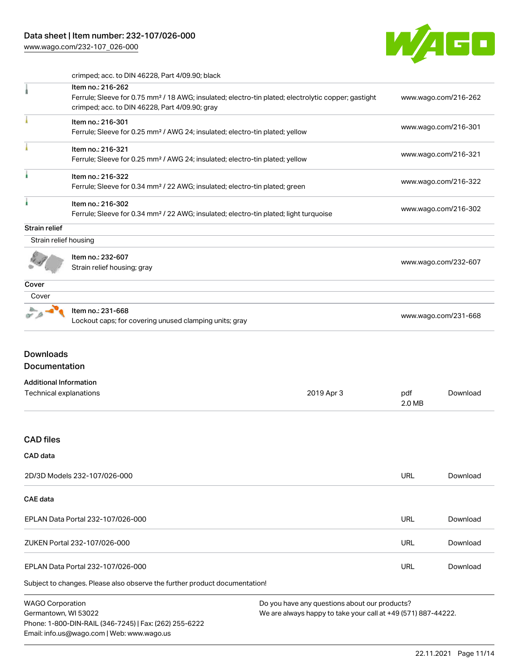Phone: 1-800-DIN-RAIL (346-7245) | Fax: (262) 255-6222

Email: info.us@wago.com | Web: www.wago.us

[www.wago.com/232-107\\_026-000](http://www.wago.com/232-107_026-000)



| crimped; acc. to DIN 46228, Part 4/09.90; black |  |  |  |  |  |  |
|-------------------------------------------------|--|--|--|--|--|--|
|-------------------------------------------------|--|--|--|--|--|--|

|                                                         | 011111pcd, aoo. to Dirt 40220, r art 4700.00, biaoit                                                                                                                                   |                                                                                                                |                      |                      |
|---------------------------------------------------------|----------------------------------------------------------------------------------------------------------------------------------------------------------------------------------------|----------------------------------------------------------------------------------------------------------------|----------------------|----------------------|
|                                                         | Item no.: 216-262<br>Ferrule; Sleeve for 0.75 mm <sup>2</sup> / 18 AWG; insulated; electro-tin plated; electrolytic copper; gastight<br>crimped; acc. to DIN 46228, Part 4/09.90; gray |                                                                                                                |                      | www.wago.com/216-262 |
|                                                         | Item no.: 216-301<br>Ferrule; Sleeve for 0.25 mm <sup>2</sup> / AWG 24; insulated; electro-tin plated; yellow                                                                          |                                                                                                                |                      | www.wago.com/216-301 |
|                                                         | Item no.: 216-321<br>Ferrule; Sleeve for 0.25 mm <sup>2</sup> / AWG 24; insulated; electro-tin plated; yellow                                                                          |                                                                                                                |                      | www.wago.com/216-321 |
| ı                                                       | Item no.: 216-322<br>Ferrule; Sleeve for 0.34 mm <sup>2</sup> / 22 AWG; insulated; electro-tin plated; green                                                                           |                                                                                                                |                      | www.wago.com/216-322 |
| ۸                                                       | Item no.: 216-302<br>Ferrule; Sleeve for 0.34 mm <sup>2</sup> / 22 AWG; insulated; electro-tin plated; light turquoise                                                                 |                                                                                                                |                      | www.wago.com/216-302 |
| <b>Strain relief</b>                                    |                                                                                                                                                                                        |                                                                                                                |                      |                      |
| Strain relief housing                                   |                                                                                                                                                                                        |                                                                                                                |                      |                      |
|                                                         | Item no.: 232-607<br>Strain relief housing; gray                                                                                                                                       |                                                                                                                |                      | www.wago.com/232-607 |
| Cover                                                   |                                                                                                                                                                                        |                                                                                                                |                      |                      |
| Cover                                                   |                                                                                                                                                                                        |                                                                                                                |                      |                      |
|                                                         | Item no.: 231-668<br>Lockout caps; for covering unused clamping units; gray                                                                                                            |                                                                                                                | www.wago.com/231-668 |                      |
| <b>Downloads</b><br>Documentation                       |                                                                                                                                                                                        |                                                                                                                |                      |                      |
| <b>Additional Information</b><br>Technical explanations |                                                                                                                                                                                        | 2019 Apr 3                                                                                                     | pdf<br>2.0 MB        | Download             |
| <b>CAD files</b>                                        |                                                                                                                                                                                        |                                                                                                                |                      |                      |
| CAD data                                                |                                                                                                                                                                                        |                                                                                                                |                      |                      |
|                                                         | 2D/3D Models 232-107/026-000                                                                                                                                                           |                                                                                                                | <b>URL</b>           | Download             |
| <b>CAE</b> data                                         |                                                                                                                                                                                        |                                                                                                                |                      |                      |
|                                                         | EPLAN Data Portal 232-107/026-000                                                                                                                                                      |                                                                                                                | <b>URL</b>           | Download             |
|                                                         | ZUKEN Portal 232-107/026-000                                                                                                                                                           |                                                                                                                | <b>URL</b>           | Download             |
|                                                         | EPLAN Data Portal 232-107/026-000                                                                                                                                                      |                                                                                                                | <b>URL</b>           | Download             |
|                                                         | Subject to changes. Please also observe the further product documentation!                                                                                                             |                                                                                                                |                      |                      |
| <b>WAGO Corporation</b><br>Germantown, WI 53022         |                                                                                                                                                                                        | Do you have any questions about our products?<br>We are always happy to take your call at +49 (571) 887-44222. |                      |                      |

22.11.2021 Page 11/14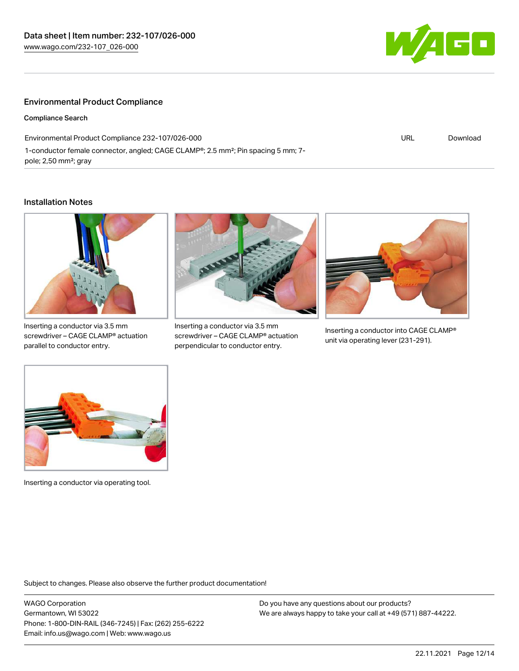

#### Environmental Product Compliance

Compliance Search

Environmental Product Compliance 232-107/026-000 1-conductor female connector, angled; CAGE CLAMP®; 2.5 mm²; Pin spacing 5 mm; 7 pole; 2,50 mm²; gray URL [Download](https://www.wago.com/global/d/ComplianceLinkMediaContainer_232-107_026-000)

#### Installation Notes



Inserting a conductor via 3.5 mm screwdriver – CAGE CLAMP® actuation parallel to conductor entry.



Inserting a conductor via 3.5 mm screwdriver – CAGE CLAMP® actuation perpendicular to conductor entry.



Inserting a conductor into CAGE CLAMP® unit via operating lever (231-291).



Inserting a conductor via operating tool.

Subject to changes. Please also observe the further product documentation!

WAGO Corporation Germantown, WI 53022 Phone: 1-800-DIN-RAIL (346-7245) | Fax: (262) 255-6222 Email: info.us@wago.com | Web: www.wago.us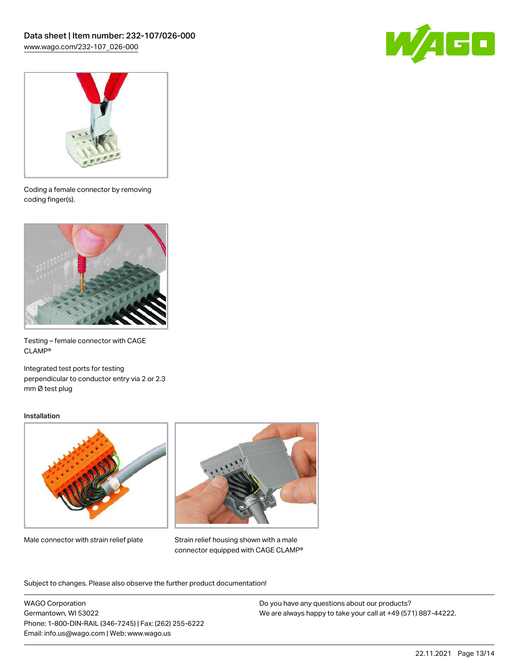



Coding a female connector by removing coding finger(s).



Testing – female connector with CAGE CLAMP®

Integrated test ports for testing perpendicular to conductor entry via 2 or 2.3 mm Ø test plug

#### Installation



Male connector with strain relief plate



Strain relief housing shown with a male connector equipped with CAGE CLAMP®

Subject to changes. Please also observe the further product documentation!

WAGO Corporation Germantown, WI 53022 Phone: 1-800-DIN-RAIL (346-7245) | Fax: (262) 255-6222 Email: info.us@wago.com | Web: www.wago.us